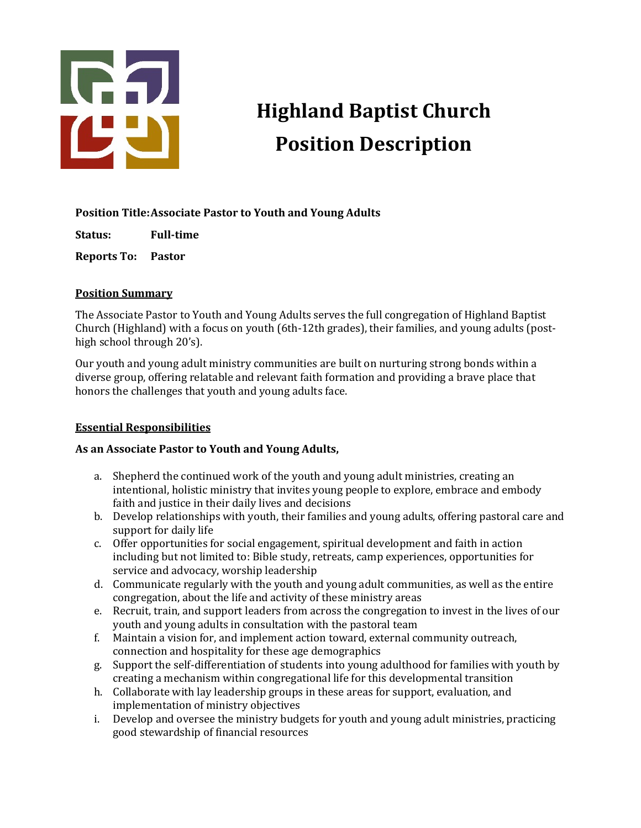

# **Highland Baptist Church Position Description**

## Position Title: Associate Pastor to Youth and Young Adults

**Status: Full-time**

**Reports To: Pastor**

## **Position Summary**

The Associate Pastor to Youth and Young Adults serves the full congregation of Highland Baptist Church (Highland) with a focus on youth (6th-12th grades), their families, and young adults (posthigh school through 20's).

Our youth and young adult ministry communities are built on nurturing strong bonds within a diverse group, offering relatable and relevant faith formation and providing a brave place that honors the challenges that youth and young adults face.

## **Essential Responsibilities**

## As an Associate Pastor to Youth and Young Adults,

- a. Shepherd the continued work of the youth and young adult ministries, creating an intentional, holistic ministry that invites young people to explore, embrace and embody faith and justice in their daily lives and decisions
- b. Develop relationships with youth, their families and young adults, offering pastoral care and support for daily life
- c. Offer opportunities for social engagement, spiritual development and faith in action including but not limited to: Bible study, retreats, camp experiences, opportunities for service and advocacy, worship leadership
- d. Communicate regularly with the youth and young adult communities, as well as the entire congregation, about the life and activity of these ministry areas
- e. Recruit, train, and support leaders from across the congregation to invest in the lives of our youth and young adults in consultation with the pastoral team
- f. Maintain a vision for, and implement action toward, external community outreach, connection and hospitality for these age demographics
- g. Support the self-differentiation of students into young adulthood for families with vouth by creating a mechanism within congregational life for this developmental transition
- h. Collaborate with lay leadership groups in these areas for support, evaluation, and implementation of ministry objectives
- i. Develop and oversee the ministry budgets for youth and young adult ministries, practicing good stewardship of financial resources